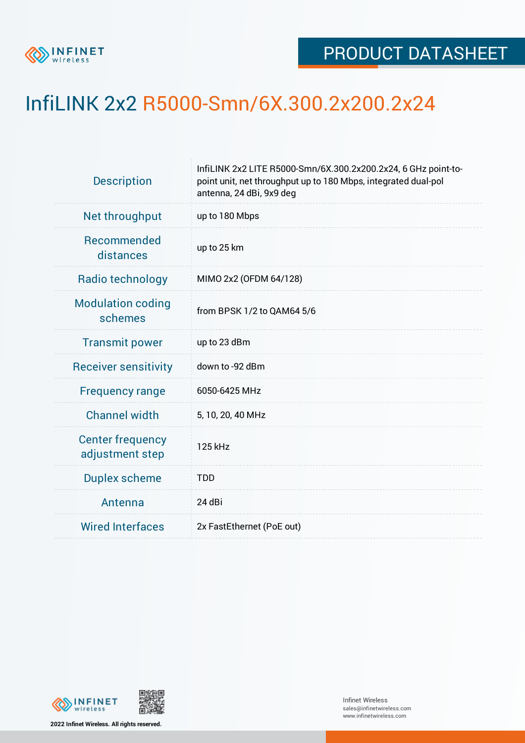

## InfiLINK 2x2 R5000-Smn/6X.300.2x200.2x24

| <b>Description</b>                         | InfiLINK 2x2 LITE R5000-Smn/6X.300.2x200.2x24, 6 GHz point-to-<br>point unit, net throughput up to 180 Mbps, integrated dual-pol<br>antenna, 24 dBi, 9x9 deg |  |  |  |  |
|--------------------------------------------|--------------------------------------------------------------------------------------------------------------------------------------------------------------|--|--|--|--|
| Net throughput                             | up to 180 Mbps                                                                                                                                               |  |  |  |  |
| Recommended<br>distances                   | up to 25 km                                                                                                                                                  |  |  |  |  |
| Radio technology                           | MIMO 2x2 (OFDM 64/128)                                                                                                                                       |  |  |  |  |
| <b>Modulation coding</b><br>schemes        | from BPSK 1/2 to QAM64 5/6                                                                                                                                   |  |  |  |  |
| <b>Transmit power</b>                      | up to 23 dBm                                                                                                                                                 |  |  |  |  |
| <b>Receiver sensitivity</b>                | down to -92 dBm                                                                                                                                              |  |  |  |  |
| <b>Frequency range</b>                     | 6050-6425 MHz                                                                                                                                                |  |  |  |  |
| <b>Channel width</b>                       | 5, 10, 20, 40 MHz                                                                                                                                            |  |  |  |  |
| <b>Center frequency</b><br>adjustment step | 125 kHz                                                                                                                                                      |  |  |  |  |
| <b>Duplex scheme</b>                       | <b>TDD</b>                                                                                                                                                   |  |  |  |  |
| Antenna                                    | 24 dBi                                                                                                                                                       |  |  |  |  |
| <b>Wired Interfaces</b>                    | 2x FastEthernet (PoE out)                                                                                                                                    |  |  |  |  |



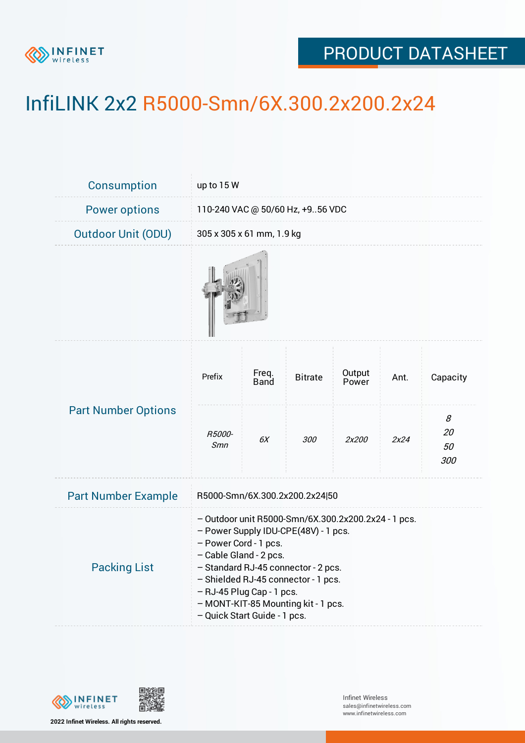

## PRODUCT DATASHEET

## InfiLINK 2x2 R5000-Smn/6X.300.2x200.2x24

| <b>Consumption</b>         | up to 15 W                                                                                                                                                                                                                                                                                                                       |               |                |                 |      |                      |  |  |
|----------------------------|----------------------------------------------------------------------------------------------------------------------------------------------------------------------------------------------------------------------------------------------------------------------------------------------------------------------------------|---------------|----------------|-----------------|------|----------------------|--|--|
| <b>Power options</b>       | 110-240 VAC @ 50/60 Hz, +956 VDC                                                                                                                                                                                                                                                                                                 |               |                |                 |      |                      |  |  |
| <b>Outdoor Unit (ODU)</b>  | 305 x 305 x 61 mm, 1.9 kg                                                                                                                                                                                                                                                                                                        |               |                |                 |      |                      |  |  |
|                            |                                                                                                                                                                                                                                                                                                                                  |               |                |                 |      |                      |  |  |
| <b>Part Number Options</b> | Prefix                                                                                                                                                                                                                                                                                                                           | Freq.<br>Band | <b>Bitrate</b> | Output<br>Power | Ant. | Capacity             |  |  |
|                            | R5000-<br>Smn                                                                                                                                                                                                                                                                                                                    | 6X            | 300            | 2x200           | 2x24 | 8<br>20<br>50<br>300 |  |  |
| <b>Part Number Example</b> | R5000-Smn/6X.300.2x200.2x24 50                                                                                                                                                                                                                                                                                                   |               |                |                 |      |                      |  |  |
| <b>Packing List</b>        | - Outdoor unit R5000-Smn/6X.300.2x200.2x24 - 1 pcs.<br>- Power Supply IDU-CPE(48V) - 1 pcs.<br>- Power Cord - 1 pcs.<br>- Cable Gland - 2 pcs.<br>- Standard RJ-45 connector - 2 pcs.<br>- Shielded RJ-45 connector - 1 pcs.<br>- RJ-45 Plug Cap - 1 pcs.<br>- MONT-KIT-85 Mounting kit - 1 pcs.<br>- Quick Start Guide - 1 pcs. |               |                |                 |      |                      |  |  |



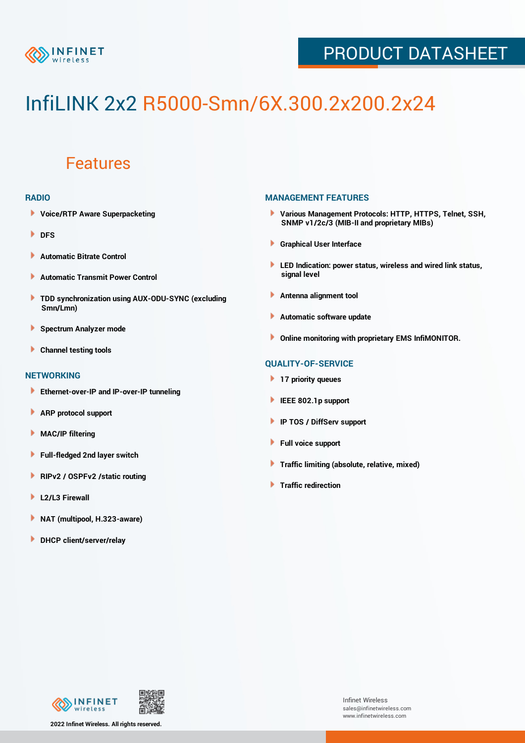

## PRODUCT DATASHEET

# InfiLINK 2x2 R5000-Smn/6X.300.2x200.2x24

### Features

#### **RADIO**

- **Voice/RTP Aware Superpacketing**
- **DFS**
- **Automatic Bitrate Control** Þ
- Þ **Automatic Transmit Power Control**
- ь **TDD synchronization using AUX-ODU-SYNC (excluding Smn/Lmn)**
- **Spectrum Analyzer mode** ۰
- **Channel testing tools** ١

#### **NETWORKING**

- **Ethernet-over-IP and IP-over-IP tunneling**
- Þ **ARP protocol support**
- ۱ **MAC/IP filtering**
- Þ **Full-fledged 2nd layer switch**
- Þ **RIPv2 / OSPFv2 /static routing**
- **L2/L3 Firewall** Þ
- **NAT (multipool, H.323-aware)** Þ
- Þ **DHCP client/server/relay**

#### **MANAGEMENT FEATURES**

- **Various Management Protocols: HTTP, HTTPS, Telnet, SSH, SNMP v1/2c/3 (MIB-II and proprietary MIBs)**
- **Graphical User Interface**
- **LED Indication: power status, wireless and wired link status, signal level**
- **Antenna alignment tool**
- ٠ **Automatic software update**
- **Online monitoring with proprietary EMS InfiMONITOR.**

#### **QUALITY-OF-SERVICE**

- **17 priority queues**
- **IEEE 802.1p support**
- **IP TOS / DiffServ support**
- ٠ **Full voice support**
- **Traffic limiting (absolute, relative, mixed)** ٠
- **Traffic redirection**